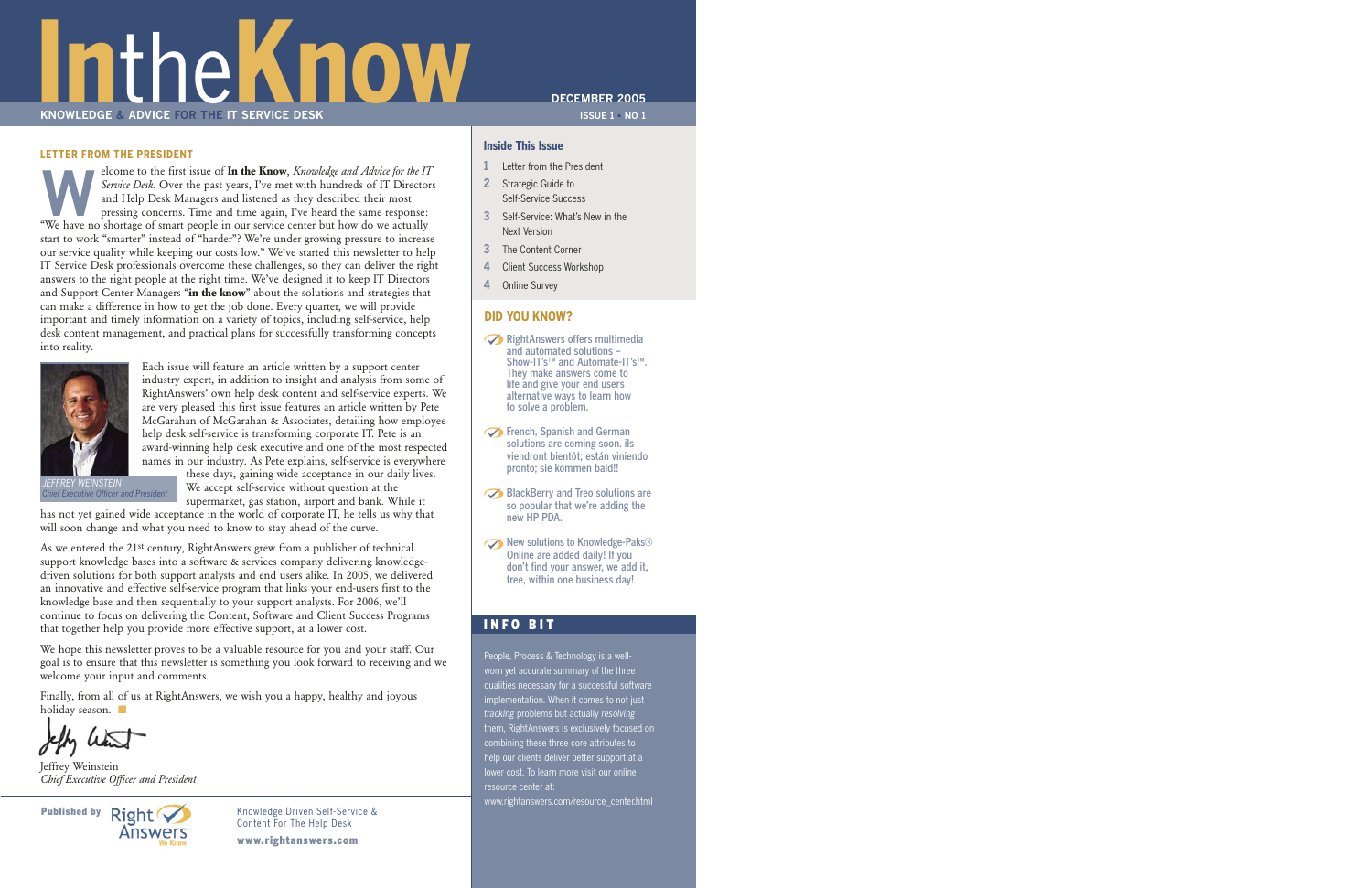# **Inthe Know The Indian SERVICE DESK KNOWLEDGE & ADVICE FOR THE IT SERVICE DESK**

#### **LETTER FROM THE PRESIDENT**

Experience to the first issue of **In the Know**, *Knowledge and Advice for the IT*<br>Service Desk. Over the past years, I've met with hundreds of IT Director<br>and Help Desk Managers and listened as they described their most<br>pr *Service Desk*. Over the past years, I've met with hundreds of IT Directors and Help Desk Managers and listened as they described their most pressing concerns. Time and time again, I've heard the same response: "We have no shortage of smart people in our service center but how do we actually start to work "smarter" instead of "harder"? We're under growing pressure to increase our service quality while keeping our costs low." We've started this newsletter to help IT Service Desk professionals overcome these challenges, so they can deliver the right answers to the right people at the right time. We've designed it to keep IT Directors and Support Center Managers "**in the know**" about the solutions and strategies that can make a difference in how to get the job done. Every quarter, we will provide important and timely information on a variety of topics, including self-service, help desk content management, and practical plans for successfully transforming concepts into reality.



Each issue will feature an article written by a support center industry expert, in addition to insight and analysis from some of RightAnswers' own help desk content and self-service experts. We are very pleased this first issue features an article written by Pete McGarahan of McGarahan & Associates, detailing how employee help desk self-service is transforming corporate IT. Pete is an award-winning help desk executive and one of the most respected names in our industry. As Pete explains, self-service is everywhere

*JEFFREY WEINSTEIN Chief Executive Officer and President*

these days, gaining wide acceptance in our daily lives. We accept self-service without question at the supermarket, gas station, airport and bank. While it has not yet gained wide acceptance in the world of corporate IT, he tells us why that

will soon change and what you need to know to stay ahead of the curve.

As we entered the 21st century, RightAnswers grew from a publisher of technical support knowledge bases into a software & services company delivering knowledgedriven solutions for both support analysts and end users alike. In 2005, we delivered an innovative and effective self-service program that links your end-users first to the knowledge base and then sequentially to your support analysts. For 2006, we'll continue to focus on delivering the Content, Software and Client Success Programs that together help you provide more effective support, at a lower cost.

We hope this newsletter proves to be a valuable resource for you and your staff. Our goal is to ensure that this newsletter is something you look forward to receiving and we welcome your input and comments.

Finally, from all of us at RightAnswers, we wish you a happy, healthy and joyous holiday season.

Jeffrey Weinstein *Chief Executive Officer and President*



Content For The Help Desk

www.rightanswers.com

#### **DECEMBER 2005**

**ISSUE 1 • NO 1**

#### **Inside This Issue**

- **1** Letter from the President
- **2** Strategic Guide to Self-Service Success
- **3** Self-Service: What's New in the Next Version
- **3** The Content Corner
- **4** Client Success Workshop
- **4** Online Survey

#### **DID YOU KNOW?**

- RightAnswers offers multimedia and automated solutions – Show-IT's™ and Automate-IT's™. They make answers come to life and give your end users alternative ways to learn how to solve a problem.
- **S** French, Spanish and German solutions are coming soon. ils viendront bientôt; están viniendo pronto; sie kommen bald!!
- BlackBerry and Treo solutions are so popular that we're adding the new HP PDA.
- New solutions to Knowledge-Paks® Online are added daily! If you don't find your answer, we add it, free, within one business day!

#### INFO BIT

People, Process & Technology is a wellworn yet accurate summary of the three qualities necessary for a successful software implementation. When it comes to not just *tracking* problems but actually *resolving* them, RightAnswers is exclusively focused on combining these three core attributes to help our clients deliver better support at a lower cost. To learn more visit our online resource center at:

www.rightanswers.com/resource\_center.html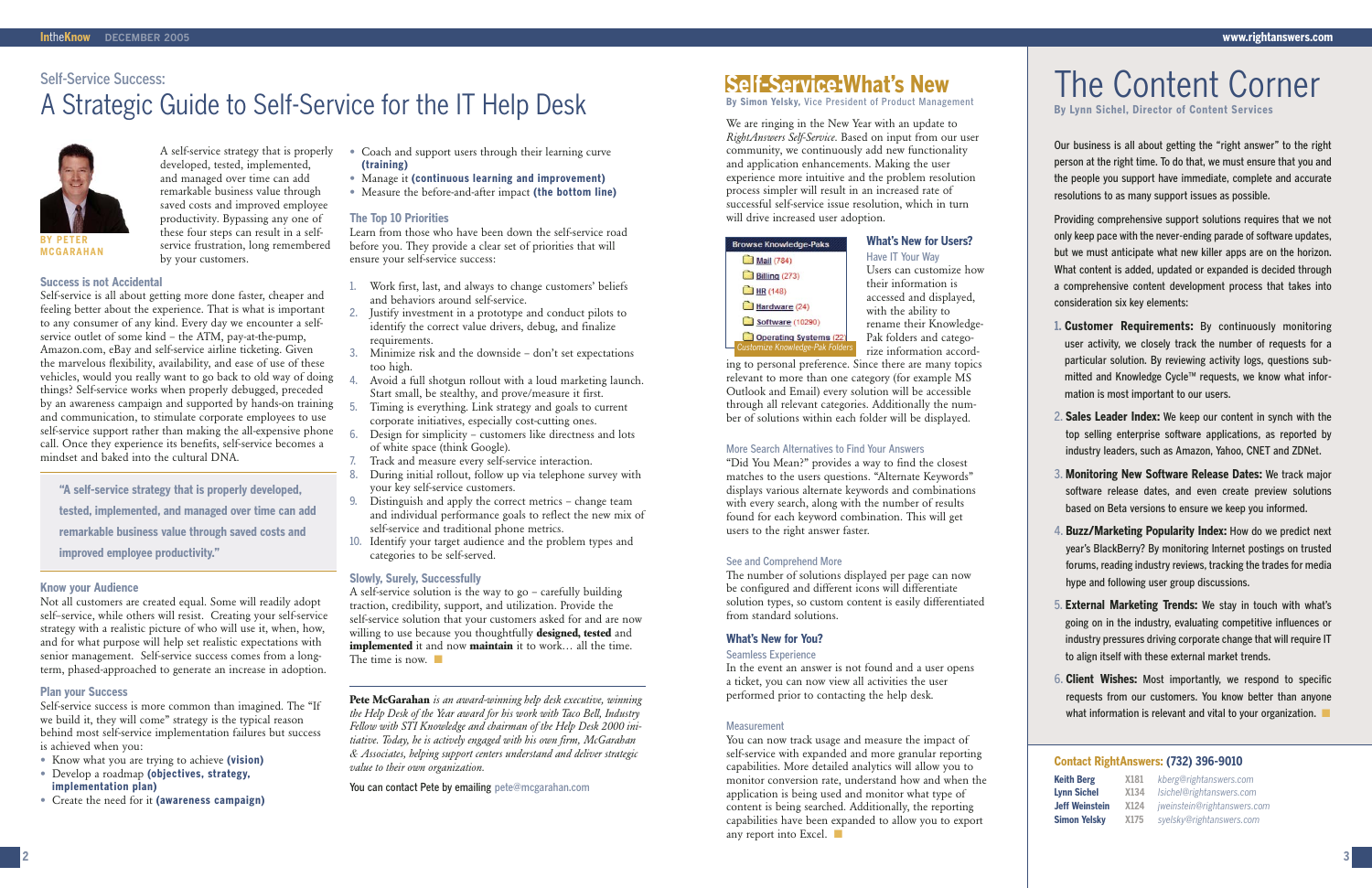#### **Success is not Accidental**

Self-service is all about getting more done faster, cheaper and feeling better about the experience. That is what is important to any consumer of any kind. Every day we encounter a selfservice outlet of some kind – the ATM, pay-at-the-pump, Amazon.com, eBay and self-service airline ticketing. Given the marvelous flexibility, availability, and ease of use of these vehicles, would you really want to go back to old way of doing things? Self-service works when properly debugged, preceded by an awareness campaign and supported by hands-on training and communication, to stimulate corporate employees to use self-service support rather than making the all-expensive phone call. Once they experience its benefits, self-service becomes a mindset and baked into the cultural DNA.

#### **Know your Audience**

Not all customers are created equal. Some will readily adopt self–service, while others will resist. Creating your self-service strategy with a realistic picture of who will use it, when, how, and for what purpose will help set realistic expectations with senior management. Self-service success comes from a longterm, phased-approached to generate an increase in adoption.

#### **Plan your Success**

Self-service success is more common than imagined. The "If we build it, they will come" strategy is the typical reason behind most self-service implementation failures but success is achieved when you:

A self-service solution is the way to go – carefully building traction, credibility, support, and utilization. Provide the self-service solution that your customers asked for and are now willing to use because you thoughtfully **designed, tested** and **implemented** it and now **maintain** it to work… all the time. The time is now.

- **•** Know what you are trying to achieve **(vision)**
- **•** Develop a roadmap **(objectives, strategy, implementation plan)**
- **•** Create the need for it **(awareness campaign)**
- **•** Coach and support users through their learning curve **(training)**
- **•** Manage it **(continuous learning and improvement)**
- **•** Measure the before-and-after impact **(the bottom line)**

#### **The Top 10 Priorities**

Learn from those who have been down the self-service road before you. They provide a clear set of priorities that will ensure your self-service success:

- 1. Work first, last, and always to change customers' beliefs and behaviors around self-service.
- 2. Justify investment in a prototype and conduct pilots to identify the correct value drivers, debug, and finalize requirements.
- 3. Minimize risk and the downside don't set expectations too high.
- Avoid a full shotgun rollout with a loud marketing launch. Start small, be stealthy, and prove/measure it first.
- 5. Timing is everything. Link strategy and goals to current corporate initiatives, especially cost-cutting ones.
- Design for simplicity customers like directness and lots of white space (think Google).
- Track and measure every self-service interaction.
- 8. During initial rollout, follow up via telephone survey with your key self-service customers.
- 9. Distinguish and apply the correct metrics change team and individual performance goals to reflect the new mix of self-service and traditional phone metrics.
- 10. Identify your target audience and the problem types and categories to be self-served.

#### **Slowly, Surely, Successfully**

**Pete McGarahan** *is an award-winning help desk executive, winning the Help Desk of the Year award for his work with Taco Bell, Industry Fellow with STI Knowledge and chairman of the Help Desk 2000 initiative. Today, he is actively engaged with his own firm, McGarahan & Associates, helping support centers understand and deliver strategic value to their own organization.* 

You can contact Pete by emailing pete@mcgarahan.com

We are ringing in the New Year with an update to *RightAnswers Self-Service*. Based on input from our user community, we continuously add new functionality and application enhancements. Making the user experience more intuitive and the problem resolution process simpler will result in an increased rate of successful self-service issue resolution, which in turn will drive increased user adoption.



A self-service strategy that is properly developed, tested, implemented, and managed over time can add remarkable business value through saved costs and improved employee productivity. Bypassing any one of these four steps can result in a selfservice frustration, long remembered by your customers.

**What's New for Users?** Have IT Your Way Users can customize how their information is accessed and displayed, with the ability to rename their Knowledge-Pak folders and categorize information accord-

ing to personal preference. Since there are many topics relevant to more than one category (for example MS Outlook and Email) every solution will be accessible through all relevant categories. Additionally the number of solutions within each folder will be displayed.

#### More Search Alternatives to Find Your Answers

"Did You Mean?" provides a way to find the closest matches to the users questions. "Alternate Keywords" displays various alternate keywords and combinations with every search, along with the number of results found for each keyword combination. This will get users to the right answer faster.

#### See and Comprehend More

The number of solutions displayed per page can now be configured and different icons will differentiate solution types, so custom content is easily differentiated from standard solutions.

#### **What's New for You?**

#### Seamless Experience

In the event an answer is not found and a user opens a ticket, you can now view all activities the user performed prior to contacting the help desk.

#### **Measurement**

You can now track usage and measure the impact of self-service with expanded and more granular reporting capabilities. More detailed analytics will allow you to monitor conversion rate, understand how and when the application is being used and monitor what type of content is being searched. Additionally, the reporting capabilities have been expanded to allow you to export any report into Excel. ■

## **Self-Service:What's New**

**By Simon Yelsky,** Vice President of Product Management

Our business is all about getting the "right answer" to the right person at the right time. To do that, we must ensure that you and the people you support have immediate, complete and accurate resolutions to as many support issues as possible.

Providing comprehensive support solutions requires that we not only keep pace with the never-ending parade of software updates, but we must anticipate what new killer apps are on the horizon. What content is added, updated or expanded is decided through a comprehensive content development process that takes into consideration six key elements:

- **1. Customer Requirements:** By continuously monitoring user activity, we closely track the number of requests for a particular solution. By reviewing activity logs, questions submitted and Knowledge Cycle™ requests, we know what information is most important to our users.
- 2. **Sales Leader Index:** We keep our content in synch with the top selling enterprise software applications, as reported by industry leaders, such as Amazon, Yahoo, CNET and ZDNet.
- 3. **Monitoring New Software Release Dates:** We track major software release dates, and even create preview solutions based on Beta versions to ensure we keep you informed.
- 4. **Buzz/Marketing Popularity Index:** How do we predict next year's BlackBerry? By monitoring Internet postings on trusted forums, reading industry reviews, tracking the trades for media hype and following user group discussions.
- 5. **External Marketing Trends:** We stay in touch with what's going on in the industry, evaluating competitive influences or industry pressures driving corporate change that will require IT to align itself with these external market trends.
- 6. **Client Wishes:** Most importantly, we respond to specific requests from our customers. You know better than anyone what information is relevant and vital to your organization. ■

## The Content Corner **By Lynn Sichel, Director of Content Services**

#### Self-Service Success:

## A Strategic Guide to Self-Service for the IT Help Desk

#### **Contact RightAnswers: (732) 396-9010**

| <b>Keith Berg</b>     | X181             | kberg@rightanswers.com      |
|-----------------------|------------------|-----------------------------|
| <b>Lynn Sichel</b>    | X134             | Isichel@rightanswers.com    |
| <b>Jeff Weinstein</b> | X <sub>124</sub> | jweinstein@rightanswers.com |
| <b>Simon Yelsky</b>   | X <sub>175</sub> | syelsky@rightanswers.com    |

| rowse Knowledge-Paks            |  |
|---------------------------------|--|
| Mail (784)                      |  |
| Billing (273)                   |  |
| $HR$ (148)                      |  |
| Hardware (24)                   |  |
| Software (10290)                |  |
| Operating Systems (22)          |  |
| Customize Knowledge-Pak Folders |  |

**"A self-service strategy that is properly developed, tested, implemented, and managed over time can add remarkable business value through saved costs and improved employee productivity."**